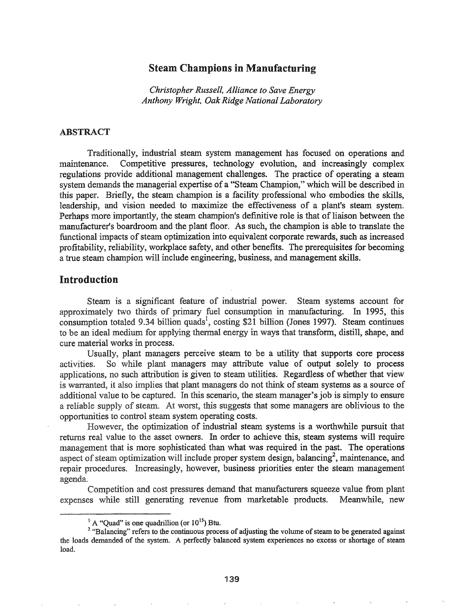# Steam Champions in Manufacturing

*Christopher Russell, Alliance to Save Energy Anthony Wright, Oak Ridge National Laboratory*

#### ABSTRACT

Traditionally, industrial steam system management has focused on operations and maintenance. Competitive pressures, technology evolution, and increasingly complex regulations provide additional management challenges. The practice of operating a steam system demands the managerial expertise of a "Steam Champion," which will be described in this paper. Briefly, the steam champion is a facility professional who embodies the skills, leadership, and vision needed to maximize the effectiveness of a plant's steam system. Perhaps more importantly, the steam champion's definitive role is that of liaison between the manufacturer's boardroom and the plant floor. As such, the champion is able to translate the functional impacts of steam optimization into equivalent corporate rewards, such as increased profitability, reliability, workplace safety, and other benefits. The prerequisites for becoming a true steam champion will include engineering, business, and management skills.

# Introduction

Steam is a significant feature of industrial power. Steam systems account for approximately two thirds of primary fuel consumption in manufacturing. In 1995, this consumption totaled 9.34 billion quads<sup>1</sup>, costing \$21 billion (Jones 1997). Steam continues to be an ideal medium for applying thermal energy in ways that transform, distill, shape, and cure material works in process.

Usually, plant managers perceive steam to be a utility that supports core process activities. So while plant managers may attribute value of output solely to process applications, no such attribution is given to steam utilities. Regardless of whether that view is warranted, it also implies that plant managers do not think of steam systems as a source of additional value to be captured. In this scenario, the steam manager's job is simply to ensure a reliable supply of steam. At worst, this suggests that some managers are oblivious to the opportunities to control steam system operating costs~

However, the optimization of industrial steam systems is a worthwhile pursuit that returns real value to the asset owners. In order to achieve this, steam systems will require management that is more sophisticated than what was required in the past. The operations aspect of steam optimization will include proper system design, balancing<sup>2</sup>, maintenance, and repair procedures. Increasingly, however, business priorities enter the steam management agenda.

Competition and cost pressures demand that manufacturers squeeze value from plant expenses while still generating revenue from marketable products. Meanwhile, new

<sup>&</sup>lt;sup>1</sup> A "Quad" is one quadrillion (or  $10^{15}$ ) Btu.

<sup>&</sup>lt;sup>2</sup> "Balancing" refers to the continuous process of adjusting the volume of steam to be generated against the loads demanded of the system. A perfectly balanced system experiences no excess or shortage of steam load.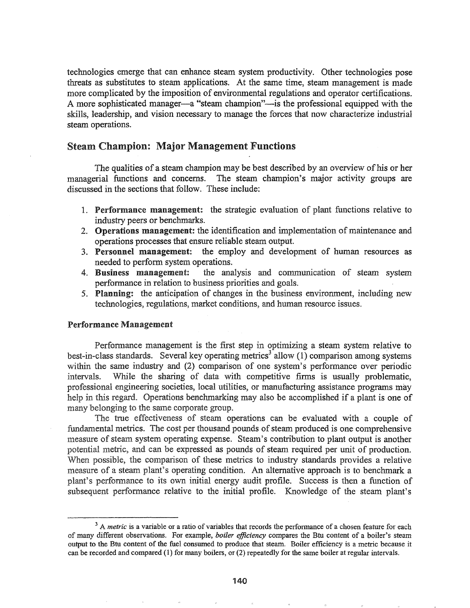technologies emerge that can enhance steam system productivity. Other technologies pose threats as substitutes to steam applications~ At the same time, steam management is made more complicated by the imposition of environmental regulations and operator certifications. A more sophisticated manager—a "steam champion"—is the professional equipped with the skills, leadership, and vision necessary to manage the forces that now characterize industrial steam operations.

## Steam Champion: Major Management Functions

The qualities of a steam champion may be best described by an overview of his or her managerial functions and concerns. The steam champion's major activity groups are discussed in the sections that follow. These include:

- I. Performance management: the strategic evaluation of plant functions relative to industry peers or benchmarks.
- 2. Operations management: the identification and implementation of maintenance and operations processes that ensure reliable steam output.
- 3., Personnel management: the employ and development of human resources as needed to perform system operations.
- Business management: the analysis and communication of steam system performance in relation to business priorities and goals.
- 5. Planning: the anticipation of changes in the business environment, including new technologies, regulations, market conditions, and human resource issues.

#### Performance Management

Performance management is the first step in optimizing a steam system relative to best-in-class standards. Several key operating metrics<sup>3</sup> allow (1) comparison among systems within the same industry and (2) comparison of one system's performance over periodic While the sharing of data with competitive firms is usually problematic. intervals. professional engineering societies, local utilities, or manufacturing assistance programs may help in this regard. Operations benchmarking may also be accomplished if a plant is one of many belonging to the same corporate group.

The true effectiveness of steam operations can be evaluated with a couple of fundamental metrics. The cost per thousand pounds of steam produced is one comprehensive measure of steam system operating expense. Steam's contribution to plant output is another potential metric, and can be expressed as pounds of steam required per unit of production. When possible, the comparison of these metrics to industry standards provides a relative measure of a steam plant's operating condition. An alternative approach is to benchmark a plant's performance to its own initial energy audit profile. Success is then a function of subsequent performance relative to the initial profile. Knowledge of the steam plant's

<sup>&</sup>lt;sup>3</sup> A *metric* is a variable or a ratio of variables that records the performance of a chosen feature for each of many different observations. For example, *boiler efficiency* compares the Btu content of a boiler"s steam output to the Btu content of the fuel consumed to produce that steam. Boiler efficiency is a metric because it can be recorded and compared (1) for many boilers, or (2) repeatedly for the same boiler at regular intervals.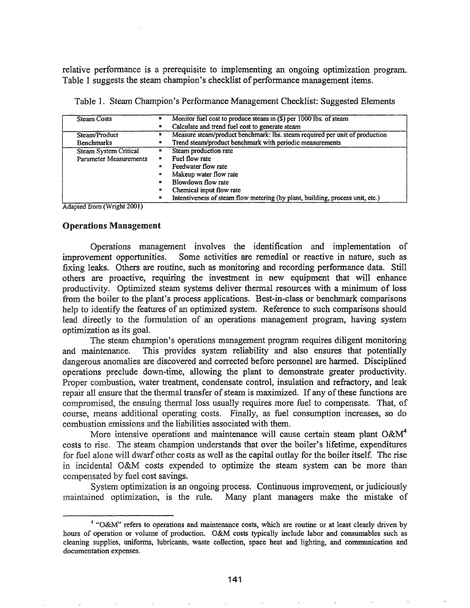relative perfonnance is a prerequisite to implementing an ongoing optimization program. Table 1 suggests the steam champion's checklist of performance management items.

| Steam Costs                  | Monitor fuel cost to produce steam in (\$) per 1000 lbs. of steam<br>w             |
|------------------------------|------------------------------------------------------------------------------------|
|                              | Calculate and trend fuel cost to generate steam<br>器                               |
| Steam/Product                | Measure steam/product benchmark: Ibs. steam required per unit of production<br>廯   |
| <b>Benchmarks</b>            | Trend steam/product benchmark with periodic measurements<br>巖                      |
| <b>Steam System Critical</b> | <b>Steam production rate</b><br>88                                                 |
| Parameter Measurements       | Fuel flow rate<br>$\mathbf{z}$                                                     |
|                              | Feedwater flow rate<br>æ                                                           |
|                              | Makeup water flow rate<br>腐                                                        |
|                              | Blowdown flow rate<br>闘                                                            |
|                              | Chemical input flow rate<br>額                                                      |
|                              | Intensiveness of steam flow metering (by plant, building, process unit, etc.)<br>æ |

Table 1. Steam Champion's Performance Management Checklist: Suggested Elements

Adapted from (Wnght 200I)

#### Operations Management

Operations management involves the identification and implementation of improvement opportunities. Some activities are remedial or reactive in nature, such as fixing leaks. Others are routine, such as monitoring and recording performance data. Still others are proactive, requiring the investment in new equipment that will enhance productivity. Optimized steam systems deliver thermal resources with a minimum of loss from the boiler to the plant's process applications. Best-in-class or benchmark comparisons help to identify the features of an optimized system. Reference to such comparisons should lead directly to the formulation of an operations management program, having system optimization as its goal..

The steam champion's operations management program requires diligent monitoring. and maintenance. This provides system reliability and also ensures that potentially dangerous anomalies are discovered and corrected before personnel are harmed. Disciplined operations preclude down-time, allowing the plant to demonstrate greater productivity. Proper combustion, water treatment, condensate control, insulation and refractory, and leak repair all ensure that the thermal transfer of steam is maximized. If any of these functions are compromised, the ensuing thermal loss usually requires more fuel to compensate. That, of course, means additional operating costs~ Finally, as fuel consumption increases, so do combustion emissions and the liabilities associated with them.

More intensive operations and maintenance will cause certain steam plant  $O\&M^4$ costs to rise. The steam champion understands that over the boiler's lifetime, expenditures for fuel alone will dwarf other costs as well as the capital outlay for the boiler itself. The rise in incidental O&M costs expended to optimize the steam system can be more than compensated by fuel cost savings.

System optimization is an ongoing process. Continuous improvement, or judiciously maintained optimization, is the rule. Many plant managers make the mistake of

<sup>4</sup> "O&M" refers to operations and maintenance costs, which are routine or at least clearly driven by hours of operation or volume of production. O&M costs typically include labor and consumables such as cleaning supplies, uniforms, lubricants, waste collection, space heat and lighting, and communication and documentation expenses.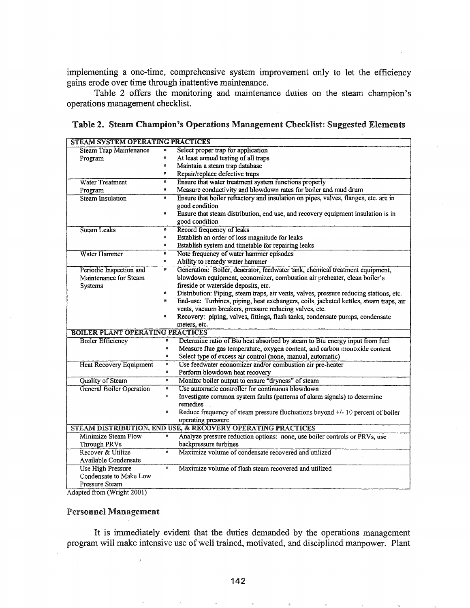implementing a one-time, comprehensive system improvement only to let the efficiency gains erode over time through inattentive maintenance.

Table 2 offers the monitoring and maintenance duties on the steam champion's operations management checklist.

|  |  | Table 2. Steam Champion's Operations Management Checklist: Suggested Elements |  |  |
|--|--|-------------------------------------------------------------------------------|--|--|
|  |  |                                                                               |  |  |

|                                                             | <b>STEAM SYSTEM OPERATING PRACTICES</b> |                                                                                                                                                          |  |  |  |  |  |  |
|-------------------------------------------------------------|-----------------------------------------|----------------------------------------------------------------------------------------------------------------------------------------------------------|--|--|--|--|--|--|
| <b>Steam Trap Maintenance</b>                               |                                         | Select proper trap for application                                                                                                                       |  |  |  |  |  |  |
| Program                                                     | Ŕ.                                      | At least annual testing of all traps                                                                                                                     |  |  |  |  |  |  |
|                                                             | 雛                                       | Maintain a steam trap database                                                                                                                           |  |  |  |  |  |  |
|                                                             | g,                                      | Repair/replace defective traps                                                                                                                           |  |  |  |  |  |  |
| Water Treatment                                             | $\pmb{\otimes}$                         | Ensure that water treatment system functions properly                                                                                                    |  |  |  |  |  |  |
| Program                                                     | a,                                      | Measure conductivity and blowdown rates for boiler and mud drum                                                                                          |  |  |  |  |  |  |
| Steam Insulation                                            | ø                                       | Ensure that boiler refractory and insulation on pipes, valves, flanges, etc. are in<br>good condition                                                    |  |  |  |  |  |  |
|                                                             | ø                                       | Ensure that steam distribution, end use, and recovery equipment insulation is in<br>good condition                                                       |  |  |  |  |  |  |
| <b>Steam Leaks</b>                                          | 霾                                       | Record frequency of leaks                                                                                                                                |  |  |  |  |  |  |
|                                                             | ŵ                                       | Establish an order of loss magnitude for leaks                                                                                                           |  |  |  |  |  |  |
|                                                             | æ                                       | Establish system and timetable for repairing leaks                                                                                                       |  |  |  |  |  |  |
| Water Hammer                                                | M.                                      | Note frequency of water hammer episodes                                                                                                                  |  |  |  |  |  |  |
|                                                             | Ø.                                      | Ability to remedy water hammer                                                                                                                           |  |  |  |  |  |  |
| Periodic Inspection and<br>Maintenance for Steam            | $\mathfrak{B}$                          | Generation: Boiler, deaerator, feedwater tank, chemical treatment equipment,<br>blowdown equipment, economizer, combustion air preheater, clean boiler's |  |  |  |  |  |  |
| Systems                                                     |                                         | fireside or waterside deposits, etc.                                                                                                                     |  |  |  |  |  |  |
|                                                             | 毊                                       | Distribution: Piping, steam traps, air vents, valves, pressure reducing stations, etc.                                                                   |  |  |  |  |  |  |
|                                                             | 93                                      | End-use: Turbines, piping, heat exchangers, coils, jacketed kettles, steam traps, air                                                                    |  |  |  |  |  |  |
|                                                             |                                         | vents, vacuum breakers, pressure reducing valves, etc.                                                                                                   |  |  |  |  |  |  |
|                                                             | 鷴                                       | Recovery: piping, valves, fittings, flash tanks, condensate pumps, condensate                                                                            |  |  |  |  |  |  |
|                                                             |                                         | meters, etc.                                                                                                                                             |  |  |  |  |  |  |
|                                                             | <b>BOILER PLANT OPERATING PRACTICES</b> |                                                                                                                                                          |  |  |  |  |  |  |
| <b>Boiler Efficiency</b>                                    | s                                       | Determine ratio of Btu heat absorbed by steam to Btu energy input from fuel                                                                              |  |  |  |  |  |  |
|                                                             | œ                                       | Measure flue gas temperature, oxygen content, and carbon monoxide content                                                                                |  |  |  |  |  |  |
|                                                             | <b>u</b>                                | Select type of excess air control (none, manual, automatic)                                                                                              |  |  |  |  |  |  |
| <b>Heat Recovery Equipment</b>                              | 86                                      | Use feedwater economizer and/or combustion air pre-heater                                                                                                |  |  |  |  |  |  |
|                                                             | a                                       | Perform blowdown heat recovery                                                                                                                           |  |  |  |  |  |  |
| Quality of Steam                                            | 謤                                       | Monitor boiler output to ensure "dryness" of steam                                                                                                       |  |  |  |  |  |  |
| <b>General Boiler Operation</b>                             | 98                                      | Use automatic controller for continuous blowdown                                                                                                         |  |  |  |  |  |  |
|                                                             | g,                                      | Investigate common system faults (patterns of alarm signals) to determine<br>remedies                                                                    |  |  |  |  |  |  |
|                                                             | 翳                                       | Reduce frequency of steam pressure fluctuations beyond +/- 10 percent of boiler                                                                          |  |  |  |  |  |  |
|                                                             |                                         | operating pressure                                                                                                                                       |  |  |  |  |  |  |
| STEAM DISTRIBUTION, END USE, & RECOVERY OPERATING PRACTICES |                                         |                                                                                                                                                          |  |  |  |  |  |  |
| Minimize Steam Flow                                         | 麴                                       | Analyze pressure reduction options: none, use boiler controls or PRVs, use                                                                               |  |  |  |  |  |  |
| Through PRVs                                                |                                         | backpressure turbines                                                                                                                                    |  |  |  |  |  |  |
| Recover & Utilize                                           | ×                                       | Maximize volume of condensate recovered and utilized                                                                                                     |  |  |  |  |  |  |
| Available Condensate                                        |                                         |                                                                                                                                                          |  |  |  |  |  |  |
| <b>Use High Pressure</b>                                    | e,                                      | Maximize volume of flash steam recovered and utilized                                                                                                    |  |  |  |  |  |  |
| Condensate to Make Low                                      |                                         |                                                                                                                                                          |  |  |  |  |  |  |
| Pressure Steam                                              |                                         |                                                                                                                                                          |  |  |  |  |  |  |

Adapted from (Wright 2001)

## Personnel Management

 $\lambda$ 

It is immediately evident that the duties demanded by the operations management program will make intensive use of well trained, motivated, and disciplined manpower. Plant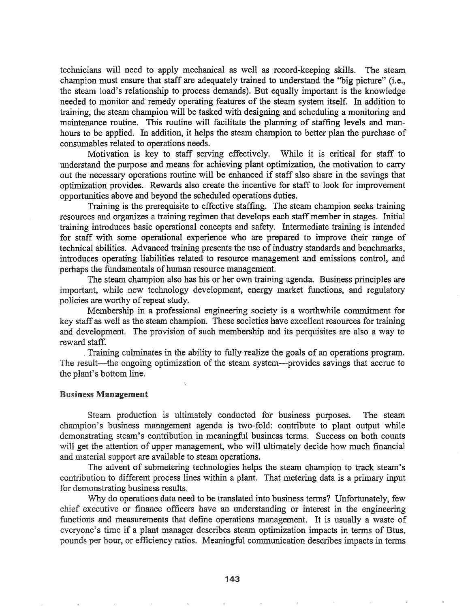technicians will need to apply mechanical as well as record-keeping skills. The steam champion must ensure that staff are adequately trained to understand the "big picture" (i.e., the steam load's relationship to process demands). But equally important is the knowledge needed to monitor and remedy operating features of the steam system itself. In addition to training, the steam champion will be tasked with designing and scheduling a monitoring and maintenance routine. This routine will facilitate the planning of staffing levels and manhours to be applied. In addition, it helps the steam champion to better plan the purchase of consumables related to operations needs.

Motivation is key to staff serving effectively. While it is critical for staff to understand the purpose and means for achieving plant optimization, the motivation to carry out the necessary operations routine will be enhanced if staff also share in the savings that optimization provides. Rewards also create the incentive for staff to look for improvement opportunities above and beyond the scheduled operations duties.

Training is the prerequisite to effective staffing. The steam champion seeks training resources and organizes a training regimen that develops each staffmember in stages. Initial training introduces basic operational concepts and safety. Intermediate training is intended for staff with some operational experience who are prepared to improve their range of technical abilities. Advanced training presents the use of industry standards and benchmarks, introduces operating liabilities related to resource management and emissions control, and perhaps the fundamentals of human resource management.

The steam champion also has his or her own training agenda. Business principles are important, while new technology development, energy market functions, and regulatory policies are worthy of repeat study.

Membership in a professional engineering society is a worthwhile commitment for key staff as well as the steam champion.. These societies have excellent resources for training and development.. The provision of such membership and its perquisites are also a way to reward staff:

.Training cuhninates in the ability to fully realize the goals of an operations program.. The result--the ongoing optimization of the steam system--provides savings that accrue to the plant's bottom line.

### **Business Management**

Steam production is ultimately conducted for business purposes. The steam champion's business management agenda is two-fold: contribute to plant output while demonstrating steam's contribution in meaningful business terms.. Success on both counts will get the attention of upper management, who will ultimately decide how much financial and material support are available to steam operations.

The advent of submetering technologies helps the steam champion to track steam's contribution to different process lines within a plant. That metering data is a primary input for demonstrating business results.

'Why do operations data need to be translated into business tenns? Unfortunately, few chief executive or finance officers have an understanding or interest in the engineering functions and measurements that define operations management. It is usually a waste of everyone's time if a plant manager describes steam optimization impacts in terms of Btus, pounds per hour, or efficiency ratios. Meaningful communication describes impacts in terms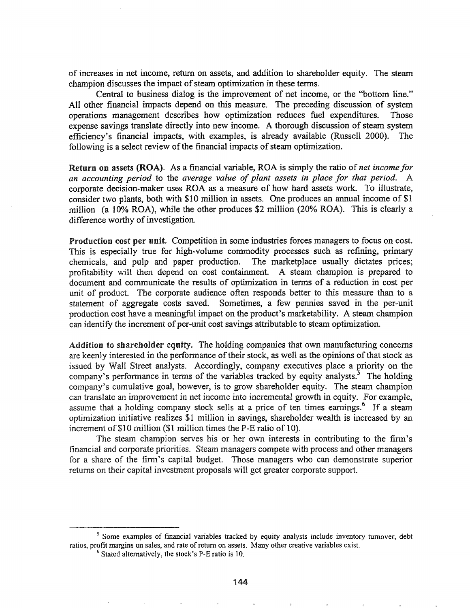of increases in net income, return on assets, and addition to shareholder equity. The steam champion discusses the impact of steam optimization in these terms.

Central to business dialog is the improvement of net income, or the "bottom line.." All other financial impacts depend on this measure. The preceding discussion of system operations management describes how optimization reduces fuel expenditures. Those expense savings translate directly into new income. A thorough discussion of steam system efficiency's financial impacts, with examples, is already available (Russell 2000). The following is a select review of the financial impacts of steam optimization.

Return on assets (ROA). As a financial variable, ROA is simply the ratio of *net income for an accounting period* to the *average value of plant assets in place for that period.* A corporate decision-maker uses ROA as a measure of how hard assets work. To illustrate, consider two plants, both with \$10 million in assets. One produces an annual income of \$1 million (a 10% ROA), while the other produces \$2 million (20% ROA). This is clearly a difference worthy of investigation.

Production cost per unit. Competition in some industries forces managers to focus on cost. This is especially true for high-volume commodity processes such as refining, primary chemicals, and pulp and paper production. The marketplace usually dictates prices; profitability will then depend on cost containment. A steam champion is prepared to document and communicate the results of optimization in terms of a reduction in cost per unit of product. The corporate audience often responds better to this measure than to a statement of aggregate costs saved. Sometimes, a few pennies saved in the per-unit production cost have a meaningful impact on the product's marketability. A steam champion can identify the increment of per-unit cost savings attributable to steam optimization.

Addition to shareholder equity. The holding companies that own manufacturing concerns are keenly interested in the performance of their stock, as well as the opinions of that stock as issued by Wall Street analysts. Accordingly, company executives place a priority on the company's performance in terms of the variables tracked by equity analysts.<sup>5</sup> The holding company's cumulative goal, however, is to grow shareholder equity. The steam champion can translate an improvement in net income into incremental growth in equity. For example, assume that a holding company stock sells at a price of ten times earnings.<sup>6</sup> If a steam optimization initiative realizes \$1 million in savings, shareholder wealth is increased by an increment of \$10 million (\$1 million times the P-E ratio of 10).

The steam champion serves his or her own interests in contributing to the finn's financial and corporate priorities. Steam managers compete with process and other managers for a share of the firm's capital budget. Those managers who can demonstrate superior returns on their capital investment proposals will get greater corporate support.

<sup>&</sup>lt;sup>5</sup> Some examples of financial variables tracked by equity analysts include inventory turnover, debt ratios, profit margins on sales, and rate of return on assets. Many other creative variables exist.

<sup>6</sup> Stated alternatively, the stock's P-E ratio is 10.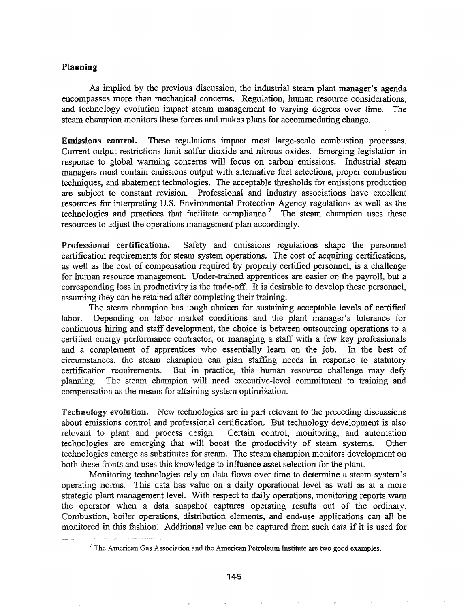# Planning

As implied by the previous discussion, the industrial steam plant manager's agenda encompasses more than mechanical concerns,. Regulation, human resource considerations, and technology evolution impact steam management to varying degrees over time. The steam champion monitors these forces and makes plans for accommodating change.

**Emissions control.** These regulations impact most large-scale combustion processes. Current output restrictions limit sulfur dioxide and nitrous oxides. Emerging legislation in response to global warming concerns will focus on carbon emissions. Industrial steam managers must contain emissions output with alternative fuel selections, proper combustion techniques, and abatement technologies. The acceptable thresholds for emissions production are subject to constant revision. Professional and industry associations have excellent resources for interpreting U.S. Environmental Protection Agency regulations as well as the technologies and practices that facilitate compliance.<sup>7</sup> The steam champion uses these resources to adjust the operations management plan accordingly.

Professional certifications. Safety and emissions regulations shape. the personnel certification requirements for steam system operations.. The cost of acquiring certifications, as well as the cost of compensation required by properly certified personnel, is a challenge for human resource management. Under-trained apprentices are easier on the payroll, but a corresponding loss in productivity is the trade-off. It is desirable to develop these personnel, assuming they can be retained after completing their training..

The steam champion has tough choices for sustaining acceptable levels of certified labor. Depending on labor market conditions and the plant manager's tolerance for continuous hiring and staff development, the choice is between outsourcing operations to a certified energy performance contractor, or managing a staff with a few key professionals and a complement of apprentices who essentially learn on the job. In the best of circumstances, the steam champion can plan staffing needs in response to statutory certification requirements. But in practice, this human resource challenge may defy planning~ The steam champion will need executive-level commitment to training and compensation as the means for attaining system optimization.

**Technology evolution.** New technologies are in part relevant to the preceding discussions about emissions control and professional certification. But technology development is also relevant to plant and process design. Certain control, monitoring, and automation technologies are emerging that will boost the productivity of steam systems. Other technologies emerge as substitutes for steam. The steam champion monitors development on both these fronts and uses this knowledge to influence asset selection for the plant.

Monitoring technologies rely on data flows over time to determine a steam system's operating norms. This data has value on a daily operational level as well as at a more strategic plant management level. With respect to daily operations, monitoring reports warn the operator when a data snapshot captures operating results out of the ordinary. Combustion, boiler operations, distribution elements, and end-use applications can all be monitored in this fashion. Additional value can be captured from such data if it is used for

 $7$  The American Gas Association and the American Petroleum Institute are two good examples.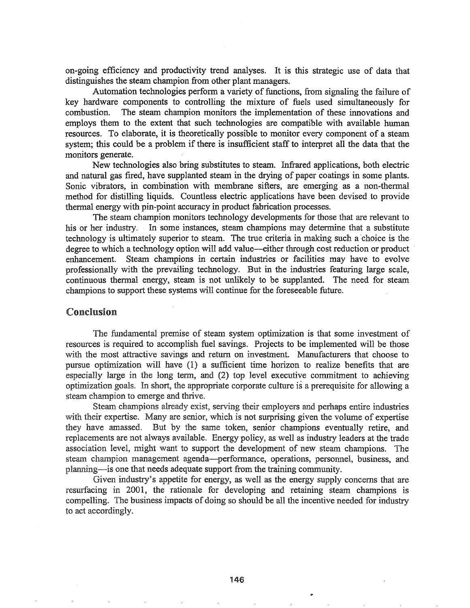on-going efficiency and productivity trend analyses. It is this strategic use of data that distinguishes the steam champion from other plant managers.

Automation technologies perform a variety of functions, from signaling the failure of key hardware components to controlling the mixture of fuels used simultaneously for combustion. The steam champion monitors the implementation of these innovations and employs them to the extent that such technologies are compatible with available human resources. To elaborate, it is theoretically possible to monitor every component of a steam system; this could be a problem if there is insufficient staff to interpret all the data that the monitors generate.

New technologies also bring substitutes to steam. Infrared applications, both electric and natural gas fired, have supplanted steam in the drying of paper coatings in some plants. Sonic vibrators, in combination with membrane sifters, are emerging as a non-thermal method for distilling liquids. Countless electric applications have been devised to provide thermal energy with pin-point accuracy in product fabrication processes.

The steam champion monitors technology developments for those that are relevant to his or her industry. In some instances, steam champions may determine that a substitute technology is ultimately superior to steam. The true criteria in making such a choice is the degree to which a technology option will add value-either through cost reduction or product enhancement.. Steam champions in certain industries or facilities may have to evolve professionally with the prevailing technology. But in the industries featuring large scale, continuous thermal energy, steam is not unlikely to be supplanted. The need for steam champions to support these systems will continue for the foreseeable future.

## Conclusion

The fundamental premise of steam system optimization is that some investment of resources is required to accomplish fuel savings. Projects to be implemented will be those with the most attractive savings and return on investment.. Manufacturers that choose to pursue optimization will have (1) a sufficient time horizon to realize benefits that are especially large in the long term, and (2) top level executive commitment to achieving optimization goals. In short, the appropriate corporate culture is a prerequisite for allowing a steam champion to emerge and thrive.

Steam champions already exist, serving their employers and perhaps entire industries with their expertise. Many are senior, which is not surprising given the volume of expertise they have amassed. by' the same token, senior champions eventually retire, and replacements are not always available. Energy policy, as well as industry leaders at the trade association level, might want to support the development of new steam champions. The steam champion management agenda-performance, operations, personnel, business, and planning-is one that needs adequate support from the training community.

Given industry's appetite for energy, as well as the energy supply concerns that are resurfacing in 2001, the rationale for developing and retaining steam champions is compelling. The business impacts of doing so should be all the incentive needed for industry to act accordingly.